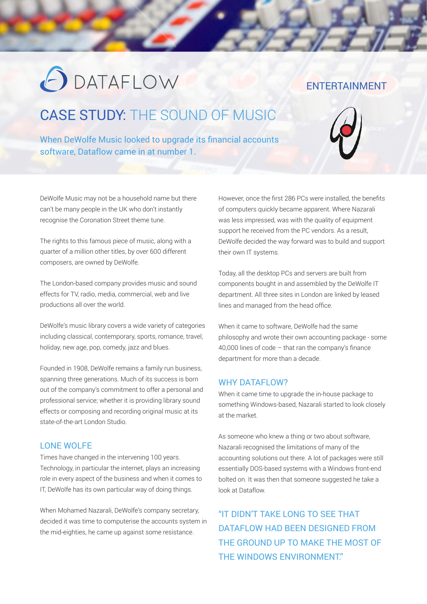# **ODATAFLOW**

#### ENTERTAINMENT

## CASE STUDY: THE SOUND OF MUSIC

When DeWolfe Music looked to upgrade its financial accounts software, Dataflow came in at number 1.



DeWolfe Music may not be a household name but there can't be many people in the UK who don't instantly recognise the Coronation Street theme tune.

The rights to this famous piece of music, along with a quarter of a million other titles, by over 600 different composers, are owned by DeWolfe.

The London-based company provides music and sound effects for TV, radio, media, commercial, web and live productions all over the world.

DeWolfe's music library covers a wide variety of categories including classical, contemporary, sports, romance, travel, holiday, new age, pop, comedy, jazz and blues.

Founded in 1908, DeWolfe remains a family run business, spanning three generations. Much of its success is born out of the company's commitment to offer a personal and professional service; whether it is providing library sound effects or composing and recording original music at its state-of-the-art London Studio.

#### LONE WOLFE

Times have changed in the intervening 100 years. Technology, in particular the internet, plays an increasing role in every aspect of the business and when it comes to IT, DeWolfe has its own particular way of doing things.

When Mohamed Nazarali, DeWolfe's company secretary, decided it was time to computerise the accounts system in the mid-eighties, he came up against some resistance.

However, once the first 286 PCs were installed, the benefits of computers quickly became apparent. Where Nazarali was less impressed, was with the quality of equipment support he received from the PC vendors. As a result, DeWolfe decided the way forward was to build and support their own IT systems.

Today, all the desktop PCs and servers are built from components bought in and assembled by the DeWolfe IT department. All three sites in London are linked by leased lines and managed from the head office.

When it came to software, DeWolfe had the same philosophy and wrote their own accounting package - some 40,000 lines of code – that ran the company's finance department for more than a decade.

#### WHY DATAFLOW?

When it came time to upgrade the in-house package to something Windows-based, Nazarali started to look closely at the market.

As someone who knew a thing or two about software, Nazarali recognised the limitations of many of the accounting solutions out there. A lot of packages were still essentially DOS-based systems with a Windows front-end bolted on. It was then that someone suggested he take a look at Dataflow.

"IT DIDN'T TAKE LONG TO SEE THAT DATAFLOW HAD BEEN DESIGNED FROM THE GROUND UP TO MAKE THE MOST OF THE WINDOWS ENVIRONMENT"